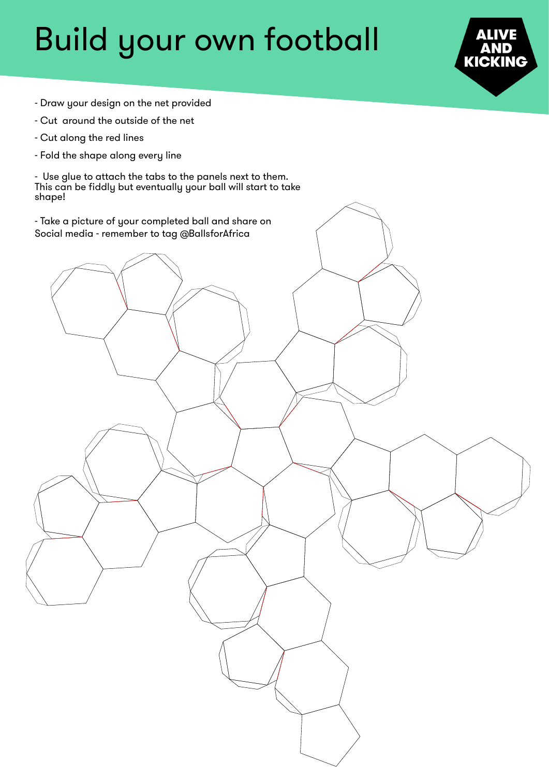## Build your own football



- Draw your design on the net provided
- Cut around the outside of the net
- Cut along the red lines
- Fold the shape along every line

- Use glue to attach the tabs to the panels next to them. This can be fiddly but eventually your ball will start to take shape!

- Take a picture of your completed ball and share on Social media - remember to tag @BallsforAfrica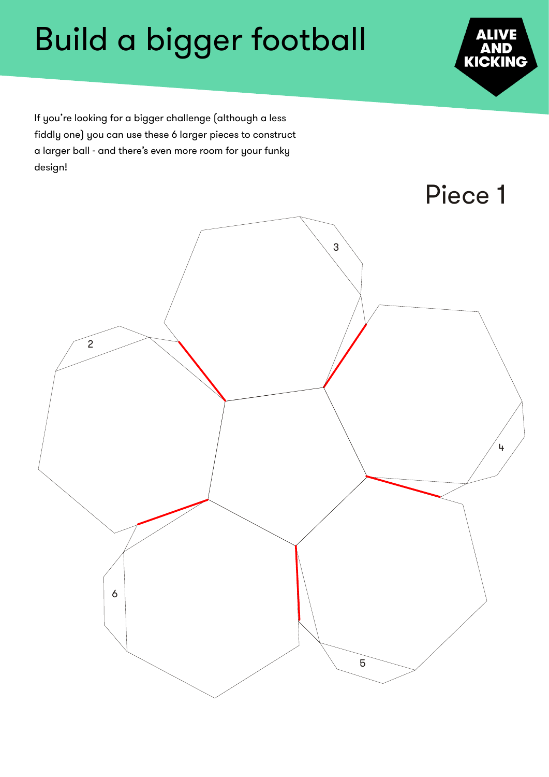

If you're looking for a bigger challenge (although a less fiddly one) you can use these 6 larger pieces to construct a larger ball - and there's even more room for your funky design!

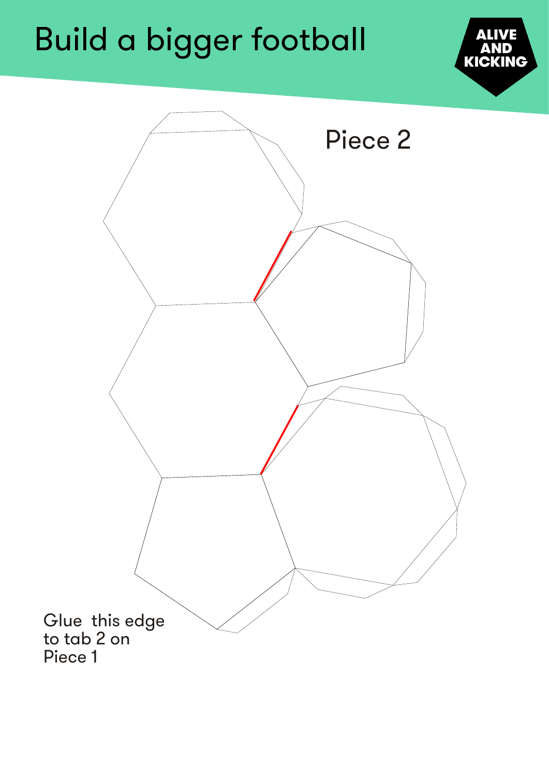

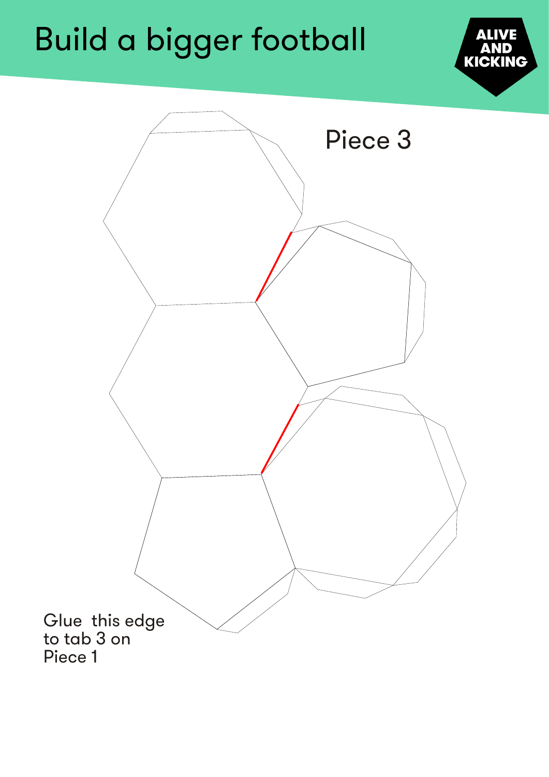

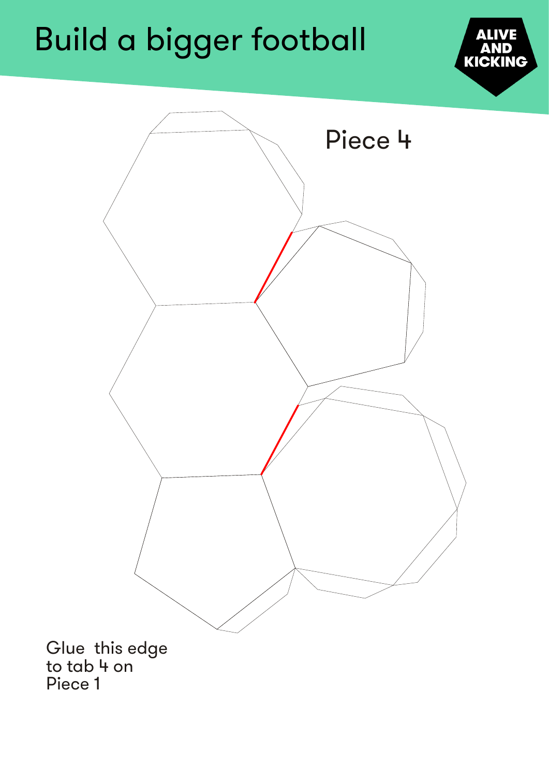



to tab 4 on Piece 1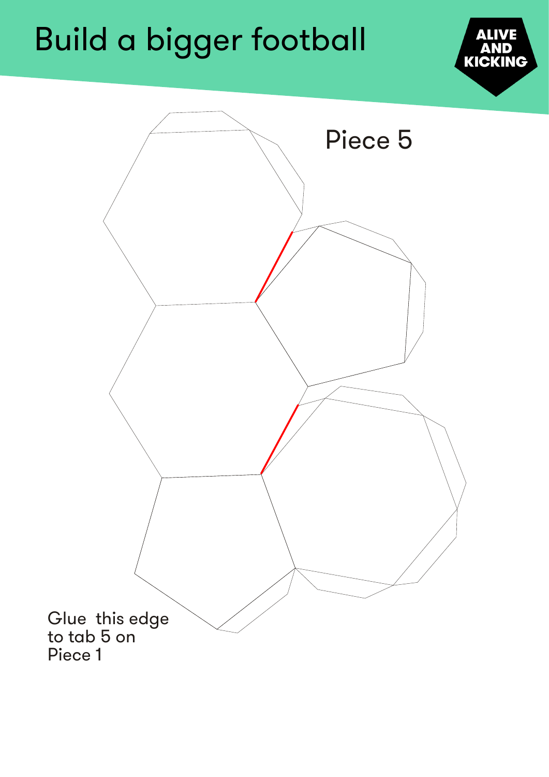